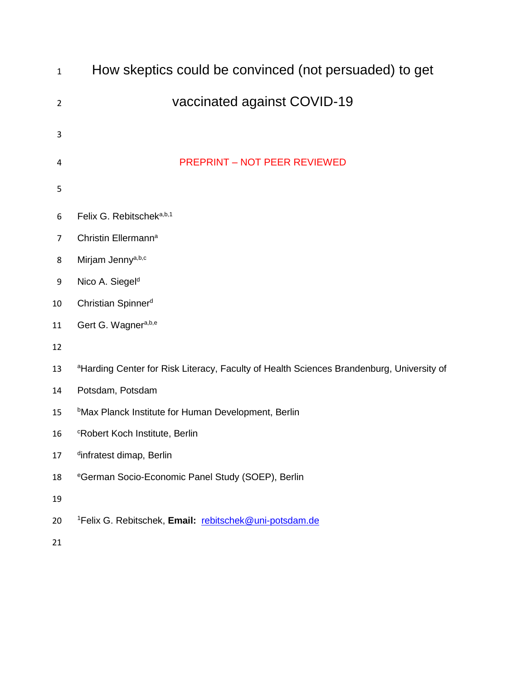| $\mathbf{1}$   | How skeptics could be convinced (not persuaded) to get                                               |
|----------------|------------------------------------------------------------------------------------------------------|
| $\overline{2}$ | vaccinated against COVID-19                                                                          |
| 3              |                                                                                                      |
| 4              | <b>PREPRINT - NOT PEER REVIEWED</b>                                                                  |
| 5              |                                                                                                      |
| 6              | Felix G. Rebitscheka,b,1                                                                             |
| 7              | Christin Ellermann <sup>a</sup>                                                                      |
| 8              | Mirjam Jennya,b,c                                                                                    |
| 9              | Nico A. Siegel <sup>d</sup>                                                                          |
| 10             | Christian Spinner <sup>d</sup>                                                                       |
| 11             | Gert G. Wagnera,b,e                                                                                  |
| 12             |                                                                                                      |
| 13             | <sup>a</sup> Harding Center for Risk Literacy, Faculty of Health Sciences Brandenburg, University of |
| 14             | Potsdam, Potsdam                                                                                     |
| 15             | bMax Planck Institute for Human Development, Berlin                                                  |
| 16             | <sup>c</sup> Robert Koch Institute, Berlin                                                           |
| 17             | dinfratest dimap, Berlin                                                                             |
| 18             | <sup>e</sup> German Socio-Economic Panel Study (SOEP), Berlin                                        |
| 19             |                                                                                                      |
| 20             | <sup>1</sup> Felix G. Rebitschek, Email: rebitschek@uni-potsdam.de                                   |
| 21             |                                                                                                      |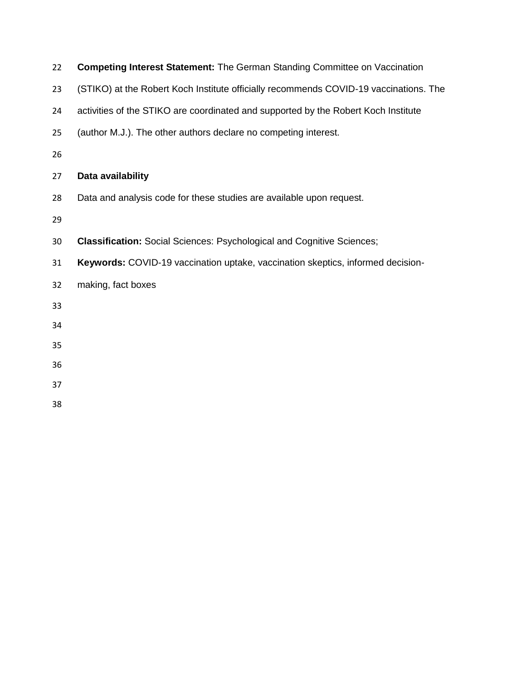- **Competing Interest Statement:** The German Standing Committee on Vaccination
- (STIKO) at the Robert Koch Institute officially recommends COVID-19 vaccinations. The
- activities of the STIKO are coordinated and supported by the Robert Koch Institute
- (author M.J.). The other authors declare no competing interest.
- 

# **Data availability**

Data and analysis code for these studies are available upon request.

- **Classification:** Social Sciences: Psychological and Cognitive Sciences;
- **Keywords:** COVID-19 vaccination uptake, vaccination skeptics, informed decision-
- making, fact boxes
- 
- 
- 
- 
- 
- 
-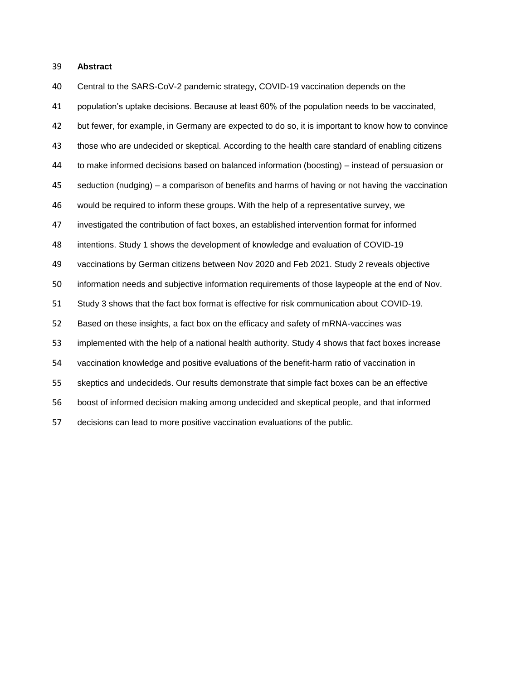#### **Abstract**

 Central to the SARS-CoV-2 pandemic strategy, COVID-19 vaccination depends on the population's uptake decisions. Because at least 60% of the population needs to be vaccinated, but fewer, for example, in Germany are expected to do so, it is important to know how to convince those who are undecided or skeptical. According to the health care standard of enabling citizens to make informed decisions based on balanced information (boosting) – instead of persuasion or seduction (nudging) – a comparison of benefits and harms of having or not having the vaccination would be required to inform these groups. With the help of a representative survey, we investigated the contribution of fact boxes, an established intervention format for informed intentions. Study 1 shows the development of knowledge and evaluation of COVID-19 vaccinations by German citizens between Nov 2020 and Feb 2021. Study 2 reveals objective information needs and subjective information requirements of those laypeople at the end of Nov. Study 3 shows that the fact box format is effective for risk communication about COVID-19. Based on these insights, a fact box on the efficacy and safety of mRNA-vaccines was implemented with the help of a national health authority. Study 4 shows that fact boxes increase vaccination knowledge and positive evaluations of the benefit-harm ratio of vaccination in skeptics and undecideds. Our results demonstrate that simple fact boxes can be an effective boost of informed decision making among undecided and skeptical people, and that informed decisions can lead to more positive vaccination evaluations of the public.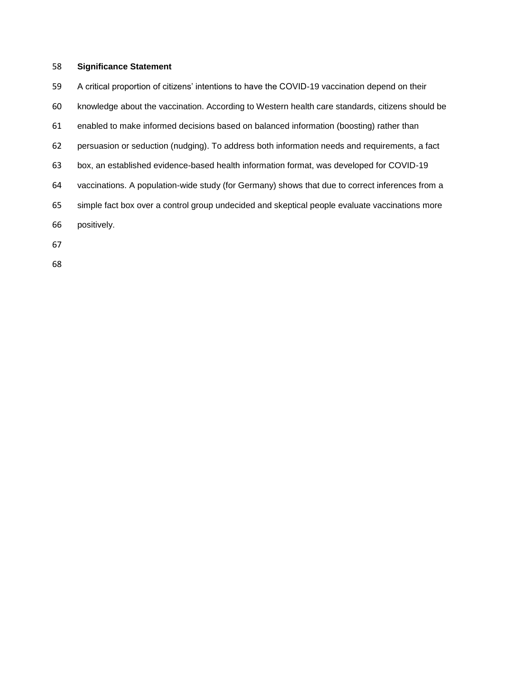# **Significance Statement**

- A critical proportion of citizens' intentions to have the COVID-19 vaccination depend on their
- knowledge about the vaccination. According to Western health care standards, citizens should be
- enabled to make informed decisions based on balanced information (boosting) rather than
- persuasion or seduction (nudging). To address both information needs and requirements, a fact
- box, an established evidence-based health information format, was developed for COVID-19
- vaccinations. A population-wide study (for Germany) shows that due to correct inferences from a
- simple fact box over a control group undecided and skeptical people evaluate vaccinations more
- positively.
- 
-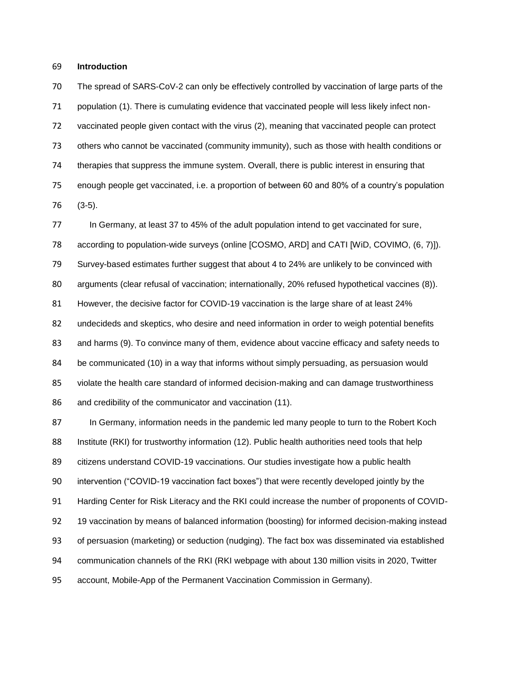#### **Introduction**

 The spread of SARS-CoV-2 can only be effectively controlled by vaccination of large parts of the population (1). There is cumulating evidence that vaccinated people will less likely infect non- vaccinated people given contact with the virus (2), meaning that vaccinated people can protect others who cannot be vaccinated (community immunity), such as those with health conditions or therapies that suppress the immune system. Overall, there is public interest in ensuring that enough people get vaccinated, i.e. a proportion of between 60 and 80% of a country's population (3-5).

 In Germany, at least 37 to 45% of the adult population intend to get vaccinated for sure, 78 according to population-wide surveys (online [COSMO, ARD] and CATI [WiD, COVIMO, (6, 7)]). Survey-based estimates further suggest that about 4 to 24% are unlikely to be convinced with arguments (clear refusal of vaccination; internationally, 20% refused hypothetical vaccines (8)). However, the decisive factor for COVID-19 vaccination is the large share of at least 24% undecideds and skeptics, who desire and need information in order to weigh potential benefits and harms (9). To convince many of them, evidence about vaccine efficacy and safety needs to be communicated (10) in a way that informs without simply persuading, as persuasion would violate the health care standard of informed decision-making and can damage trustworthiness 86 and credibility of the communicator and vaccination (11).

 In Germany, information needs in the pandemic led many people to turn to the Robert Koch Institute (RKI) for trustworthy information (12). Public health authorities need tools that help citizens understand COVID-19 vaccinations. Our studies investigate how a public health intervention ("COVID-19 vaccination fact boxes") that were recently developed jointly by the Harding Center for Risk Literacy and the RKI could increase the number of proponents of COVID- 19 vaccination by means of balanced information (boosting) for informed decision-making instead of persuasion (marketing) or seduction (nudging). The fact box was disseminated via established communication channels of the RKI (RKI webpage with about 130 million visits in 2020, Twitter account, Mobile-App of the Permanent Vaccination Commission in Germany).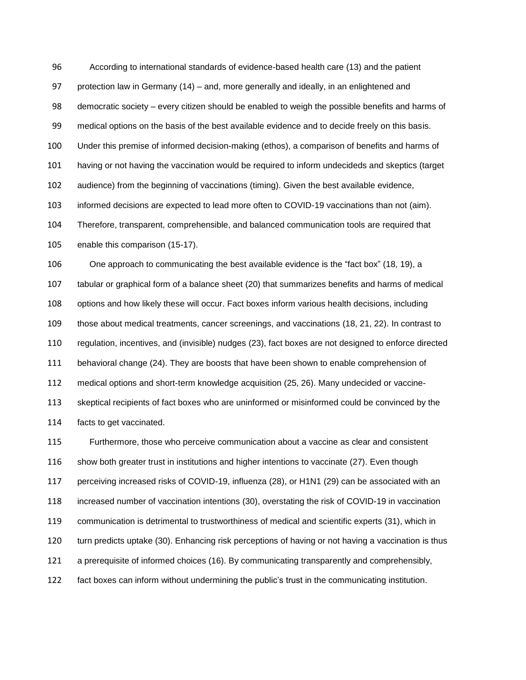protection law in Germany (14) – and, more generally and ideally, in an enlightened and democratic society – every citizen should be enabled to weigh the possible benefits and harms of medical options on the basis of the best available evidence and to decide freely on this basis. Under this premise of informed decision-making (ethos), a comparison of benefits and harms of having or not having the vaccination would be required to inform undecideds and skeptics (target audience) from the beginning of vaccinations (timing). Given the best available evidence, informed decisions are expected to lead more often to COVID-19 vaccinations than not (aim).

According to international standards of evidence-based health care (13) and the patient

 Therefore, transparent, comprehensible, and balanced communication tools are required that enable this comparison (15-17).

 One approach to communicating the best available evidence is the "fact box" (18, 19), a tabular or graphical form of a balance sheet (20) that summarizes benefits and harms of medical options and how likely these will occur. Fact boxes inform various health decisions, including those about medical treatments, cancer screenings, and vaccinations (18, 21, 22). In contrast to regulation, incentives, and (invisible) nudges (23), fact boxes are not designed to enforce directed behavioral change (24). They are boosts that have been shown to enable comprehension of medical options and short-term knowledge acquisition (25, 26). Many undecided or vaccine- skeptical recipients of fact boxes who are uninformed or misinformed could be convinced by the facts to get vaccinated.

 Furthermore, those who perceive communication about a vaccine as clear and consistent show both greater trust in institutions and higher intentions to vaccinate (27). Even though perceiving increased risks of COVID-19, influenza (28), or H1N1 (29) can be associated with an increased number of vaccination intentions (30), overstating the risk of COVID-19 in vaccination communication is detrimental to trustworthiness of medical and scientific experts (31), which in turn predicts uptake (30). Enhancing risk perceptions of having or not having a vaccination is thus a prerequisite of informed choices (16). By communicating transparently and comprehensibly, fact boxes can inform without undermining the public's trust in the communicating institution.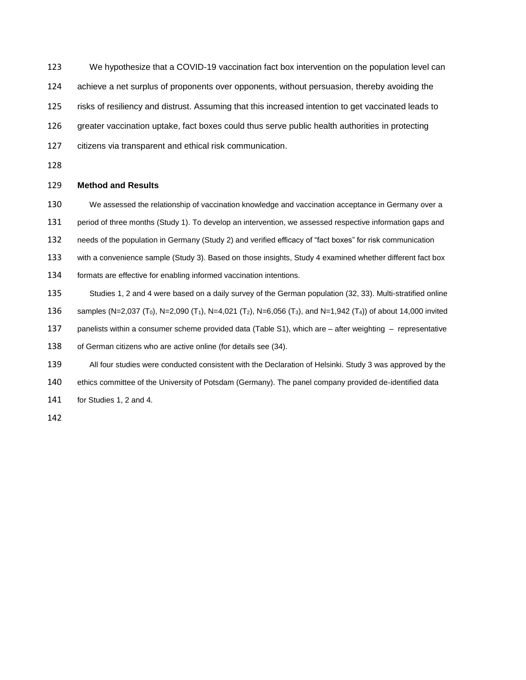We hypothesize that a COVID-19 vaccination fact box intervention on the population level can

achieve a net surplus of proponents over opponents, without persuasion, thereby avoiding the

risks of resiliency and distrust. Assuming that this increased intention to get vaccinated leads to

greater vaccination uptake, fact boxes could thus serve public health authorities in protecting

citizens via transparent and ethical risk communication.

## **Method and Results**

We assessed the relationship of vaccination knowledge and vaccination acceptance in Germany over a

131 period of three months (Study 1). To develop an intervention, we assessed respective information gaps and

needs of the population in Germany (Study 2) and verified efficacy of "fact boxes" for risk communication

 with a convenience sample (Study 3). Based on those insights, Study 4 examined whether different fact box formats are effective for enabling informed vaccination intentions.

 Studies 1, 2 and 4 were based on a daily survey of the German population (32, 33). Multi-stratified online samples (N=2,037 (T0), N=2,090 (T1), N=4,021 (T2), N=6,056 (T3), and N=1,942 (T4)) of about 14,000 invited

panelists within a consumer scheme provided data (Table S1), which are – after weighting – representative

of German citizens who are active online (for details see (34).

All four studies were conducted consistent with the Declaration of Helsinki. Study 3 was approved by the

140 ethics committee of the University of Potsdam (Germany). The panel company provided de-identified data

for Studies 1, 2 and 4*.*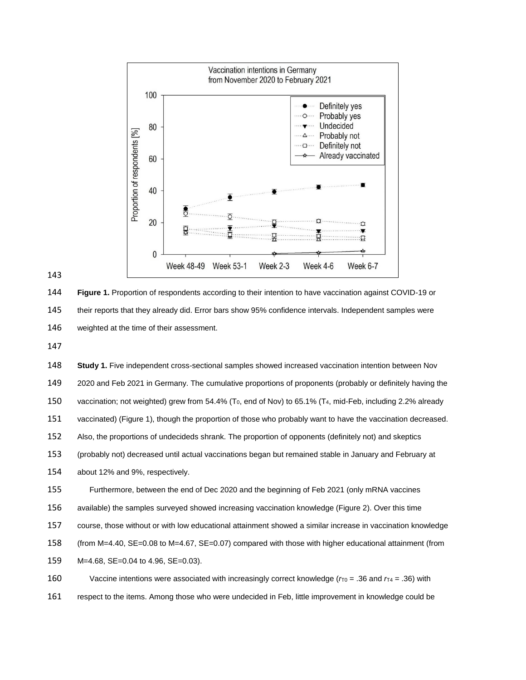

 **Figure 1.** Proportion of respondents according to their intention to have vaccination against COVID-19 or their reports that they already did. Error bars show 95% confidence intervals. Independent samples were weighted at the time of their assessment.

**Study 1.** Five independent cross-sectional samples showed increased vaccination intention between Nov 2020 and Feb 2021 in Germany. The cumulative proportions of proponents (probably or definitely having the vaccination; not weighted) grew from 54.4% (T0, end of Nov) to 65.1% (T4, mid-Feb, including 2.2% already vaccinated) (Figure 1), though the proportion of those who probably want to have the vaccination decreased. Also, the proportions of undecideds shrank. The proportion of opponents (definitely not) and skeptics (probably not) decreased until actual vaccinations began but remained stable in January and February at about 12% and 9%, respectively. Furthermore, between the end of Dec 2020 and the beginning of Feb 2021 (only mRNA vaccines available) the samples surveyed showed increasing vaccination knowledge (Figure 2). Over this time course, those without or with low educational attainment showed a similar increase in vaccination knowledge (from M=4.40, SE=0.08 to M=4.67, SE=0.07) compared with those with higher educational attainment (from M=4.68, SE=0.04 to 4.96, SE=0.03). 160 Vaccine intentions were associated with increasingly correct knowledge ( $r_{T0}$  = .36 and  $r_{T4}$  = .36) with

respect to the items. Among those who were undecided in Feb, little improvement in knowledge could be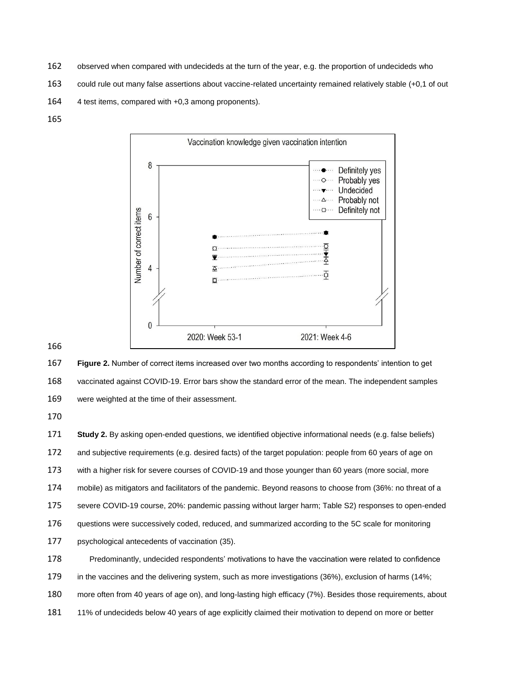- observed when compared with undecideds at the turn of the year, e.g. the proportion of undecideds who
- could rule out many false assertions about vaccine-related uncertainty remained relatively stable (+0,1 of out
- 4 test items, compared with +0,3 among proponents).
- 



 **Figure 2.** Number of correct items increased over two months according to respondents' intention to get vaccinated against COVID-19. Error bars show the standard error of the mean. The independent samples were weighted at the time of their assessment.

 **Study 2.** By asking open-ended questions, we identified objective informational needs (e.g. false beliefs) and subjective requirements (e.g. desired facts) of the target population: people from 60 years of age on with a higher risk for severe courses of COVID-19 and those younger than 60 years (more social, more mobile) as mitigators and facilitators of the pandemic. Beyond reasons to choose from (36%: no threat of a severe COVID-19 course, 20%: pandemic passing without larger harm; Table S2) responses to open-ended questions were successively coded, reduced, and summarized according to the 5C scale for monitoring psychological antecedents of vaccination (35). Predominantly, undecided respondents' motivations to have the vaccination were related to confidence in the vaccines and the delivering system, such as more investigations (36%), exclusion of harms (14%; more often from 40 years of age on), and long-lasting high efficacy (7%). Besides those requirements, about

11% of undecideds below 40 years of age explicitly claimed their motivation to depend on more or better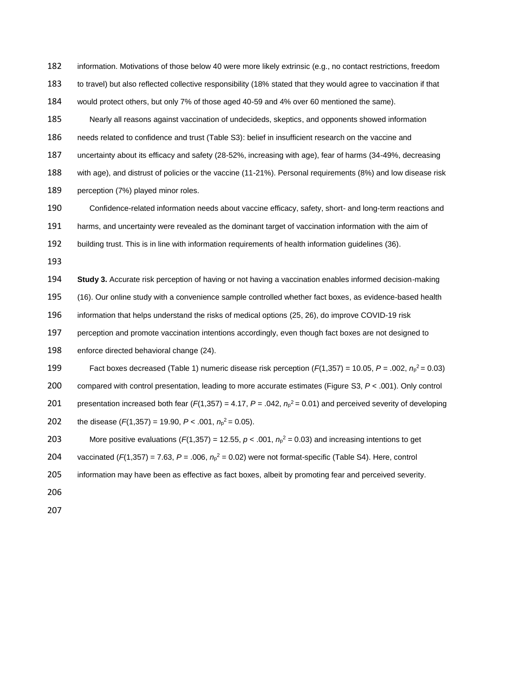information. Motivations of those below 40 were more likely extrinsic (e.g., no contact restrictions, freedom

183 to travel) but also reflected collective responsibility (18% stated that they would agree to vaccination if that

would protect others, but only 7% of those aged 40-59 and 4% over 60 mentioned the same).

Nearly all reasons against vaccination of undecideds, skeptics, and opponents showed information

needs related to confidence and trust (Table S3): belief in insufficient research on the vaccine and

uncertainty about its efficacy and safety (28-52%, increasing with age), fear of harms (34-49%, decreasing

 with age), and distrust of policies or the vaccine (11-21%). Personal requirements (8%) and low disease risk 189 perception (7%) played minor roles.

Confidence-related information needs about vaccine efficacy, safety, short- and long-term reactions and

harms, and uncertainty were revealed as the dominant target of vaccination information with the aim of

building trust. This is in line with information requirements of health information guidelines (36).

**Study 3.** Accurate risk perception of having or not having a vaccination enables informed decision-making

(16). Our online study with a convenience sample controlled whether fact boxes, as evidence-based health

information that helps understand the risks of medical options (25, 26), do improve COVID-19 risk

perception and promote vaccination intentions accordingly, even though fact boxes are not designed to

enforce directed behavioral change (24).

199 Fact boxes decreased (Table 1) numeric disease risk perception  $(F(1,357) = 10.05, P = .002, n<sub>p</sub><sup>2</sup> = 0.03)$  compared with control presentation, leading to more accurate estimates (Figure S3, *P* < .001). Only control 201 presentation increased both fear  $(F(1,357) = 4.17, P = .042, n<sub>p</sub><sup>2</sup> = 0.01)$  and perceived severity of developing

202 the disease  $(F(1,357) = 19.90, P < .001, n_p^2 = 0.05)$ .

203 More positive evaluations ( $F(1,357) = 12.55$ ,  $p < .001$ ,  $n_p^2 = 0.03$ ) and increasing intentions to get

204 vaccinated  $(F(1,357) = 7.63, P = .006, n<sub>p</sub><sup>2</sup> = 0.02)$  were not format-specific (Table S4). Here, control

- information may have been as effective as fact boxes, albeit by promoting fear and perceived severity.
-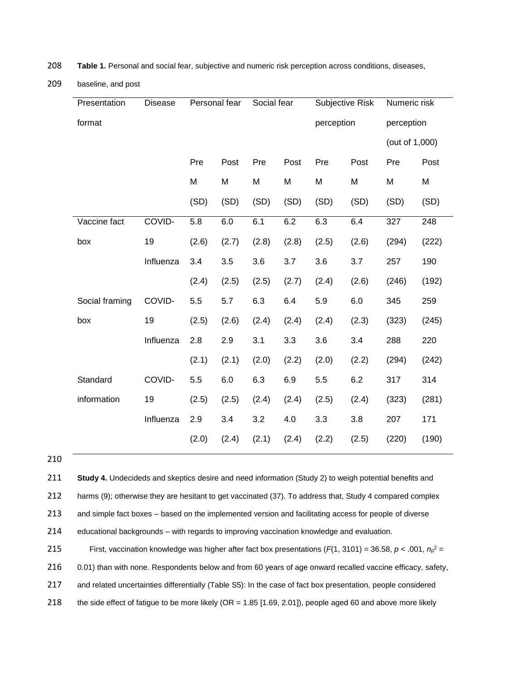| Presentation   | <b>Disease</b> | Personal fear |       | Social fear |       | Subjective Risk |       | Numeric risk   |       |
|----------------|----------------|---------------|-------|-------------|-------|-----------------|-------|----------------|-------|
| format         |                |               |       |             |       | perception      |       | perception     |       |
|                |                |               |       |             |       |                 |       | (out of 1,000) |       |
|                |                | Pre           | Post  | Pre         | Post  | Pre             | Post  | Pre            | Post  |
|                |                | M             | M     | M           | M     | M               | M     | M              | M     |
|                |                | (SD)          | (SD)  | (SD)        | (SD)  | (SD)            | (SD)  | (SD)           | (SD)  |
| Vaccine fact   | COVID-         | 5.8           | 6.0   | 6.1         | 6.2   | 6.3             | 6.4   | 327            | 248   |
| box            | 19             | (2.6)         | (2.7) | (2.8)       | (2.8) | (2.5)           | (2.6) | (294)          | (222) |
|                | Influenza      | 3.4           | 3.5   | 3.6         | 3.7   | 3.6             | 3.7   | 257            | 190   |
|                |                | (2.4)         | (2.5) | (2.5)       | (2.7) | (2.4)           | (2.6) | (246)          | (192) |
| Social framing | COVID-         | 5.5           | 5.7   | 6.3         | 6.4   | 5.9             | 6.0   | 345            | 259   |
| box            | 19             | (2.5)         | (2.6) | (2.4)       | (2.4) | (2.4)           | (2.3) | (323)          | (245) |
|                | Influenza      | 2.8           | 2.9   | 3.1         | 3.3   | 3.6             | 3.4   | 288            | 220   |
|                |                | (2.1)         | (2.1) | (2.0)       | (2.2) | (2.0)           | (2.2) | (294)          | (242) |
| Standard       | COVID-         | 5.5           | 6.0   | 6.3         | 6.9   | 5.5             | 6.2   | 317            | 314   |
| information    | 19             | (2.5)         | (2.5) | (2.4)       | (2.4) | (2.5)           | (2.4) | (323)          | (281) |
|                | Influenza      | 2.9           | 3.4   | 3.2         | 4.0   | 3.3             | 3.8   | 207            | 171   |
|                |                | (2.0)         | (2.4) | (2.1)       | (2.4) | (2.2)           | (2.5) | (220)          | (190) |

| 208 | Table 1. Personal and social fear, subjective and numeric risk perception across conditions, diseases, |  |  |
|-----|--------------------------------------------------------------------------------------------------------|--|--|
|     |                                                                                                        |  |  |

209 baseline, and post

210

211 **Study 4.** Undecideds and skeptics desire and need information (Study 2) to weigh potential benefits and

212 harms (9); otherwise they are hesitant to get vaccinated (37). To address that, Study 4 compared complex

213 and simple fact boxes – based on the implemented version and facilitating access for people of diverse

214 educational backgrounds – with regards to improving vaccination knowledge and evaluation.

215 First, vaccination knowledge was higher after fact box presentations  $(F(1, 3101) = 36.58, p < .001, n<sub>p</sub>^2 =$ 

216 0.01) than with none. Respondents below and from 60 years of age onward recalled vaccine efficacy, safety,

217 and related uncertainties differentially (Table S5): In the case of fact box presentation, people considered

218 the side effect of fatigue to be more likely (OR = 1.85 [1.69, 2.01]), people aged 60 and above more likely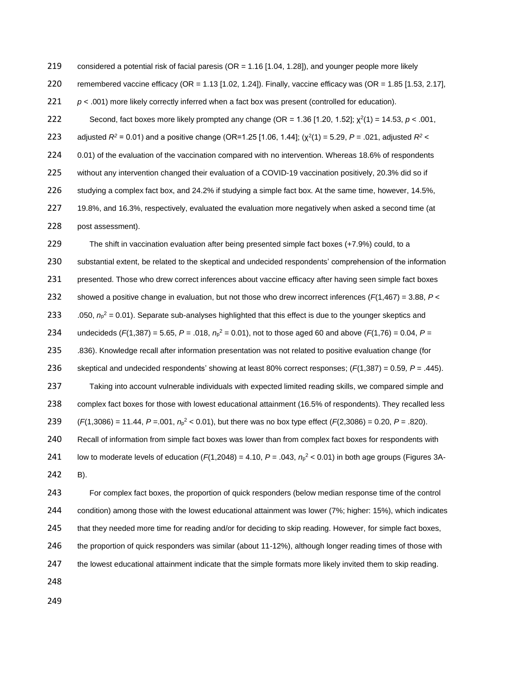considered a potential risk of facial paresis (OR = 1.16 [1.04, 1.28]), and younger people more likely 220 remembered vaccine efficacy (OR = 1.13 [1.02, 1.24]). Finally, vaccine efficacy was (OR = 1.85 [1.53, 2.17], *p* < .001) more likely correctly inferred when a fact box was present (controlled for education). Second, fact boxes more likely prompted any change (OR = 1.36 [1.20, 1.52];  $\chi^2(1) = 14.53$ ,  $p < .001$ , 223 adjusted  $R^2$  = 0.01) and a positive change (OR=1.25 [1.06, 1.44]; ( $\chi^2(1)$  = 5.29, P = .021, adjusted  $R^2$  < 224 0.01) of the evaluation of the vaccination compared with no intervention. Whereas 18.6% of respondents without any intervention changed their evaluation of a COVID-19 vaccination positively, 20.3% did so if 226 studying a complex fact box, and 24.2% if studying a simple fact box. At the same time, however, 14.5%, 19.8%, and 16.3%, respectively, evaluated the evaluation more negatively when asked a second time (at post assessment).

 The shift in vaccination evaluation after being presented simple fact boxes (+7.9%) could, to a substantial extent, be related to the skeptical and undecided respondents' comprehension of the information 231 presented. Those who drew correct inferences about vaccine efficacy after having seen simple fact boxes showed a positive change in evaluation, but not those who drew incorrect inferences (*F*(1,467) = 3.88, *P* <  $.050$ ,  $n_p^2$  = 0.01). Separate sub-analyses highlighted that this effect is due to the younger skeptics and 234 undecideds  $(F(1,387) = 5.65, P = .018, n<sub>p</sub><sup>2</sup> = 0.01),$  not to those aged 60 and above  $(F(1,76) = 0.04, P =$  .836). Knowledge recall after information presentation was not related to positive evaluation change (for skeptical and undecided respondents' showing at least 80% correct responses; (*F*(1,387) = 0.59*, P* = .445). Taking into account vulnerable individuals with expected limited reading skills, we compared simple and complex fact boxes for those with lowest educational attainment (16.5% of respondents). They recalled less  $(F(1,3086) = 11.44, P = .001, n<sub>p</sub><sup>2</sup> < 0.01)$ , but there was no box type effect  $(F(2,3086) = 0.20, P = .820)$ . Recall of information from simple fact boxes was lower than from complex fact boxes for respondents with 241 low to moderate levels of education  $(F(1,2048) = 4.10, P = .043, n<sub>p</sub><sup>2</sup> < 0.01)$  in both age groups (Figures 3A-B).

 For complex fact boxes, the proportion of quick responders (below median response time of the control condition) among those with the lowest educational attainment was lower (7%; higher: 15%), which indicates 245 that they needed more time for reading and/or for deciding to skip reading. However, for simple fact boxes, the proportion of quick responders was similar (about 11-12%), although longer reading times of those with 247 the lowest educational attainment indicate that the simple formats more likely invited them to skip reading.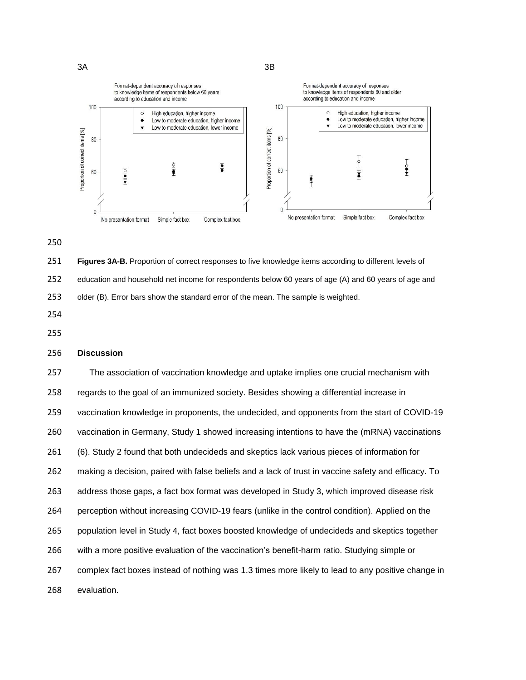

 **Figures 3A-B.** Proportion of correct responses to five knowledge items according to different levels of education and household net income for respondents below 60 years of age (A) and 60 years of age and older (B). Error bars show the standard error of the mean. The sample is weighted.

## **Discussion**

 The association of vaccination knowledge and uptake implies one crucial mechanism with regards to the goal of an immunized society. Besides showing a differential increase in vaccination knowledge in proponents, the undecided, and opponents from the start of COVID-19 vaccination in Germany, Study 1 showed increasing intentions to have the (mRNA) vaccinations (6). Study 2 found that both undecideds and skeptics lack various pieces of information for making a decision, paired with false beliefs and a lack of trust in vaccine safety and efficacy. To address those gaps, a fact box format was developed in Study 3, which improved disease risk perception without increasing COVID-19 fears (unlike in the control condition). Applied on the population level in Study 4, fact boxes boosted knowledge of undecideds and skeptics together with a more positive evaluation of the vaccination's benefit-harm ratio. Studying simple or complex fact boxes instead of nothing was 1.3 times more likely to lead to any positive change in evaluation.

 $3A$   $3B$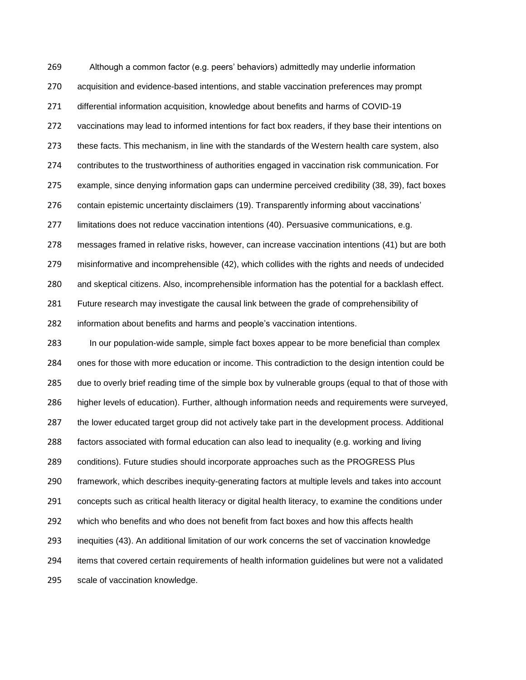Although a common factor (e.g. peers' behaviors) admittedly may underlie information acquisition and evidence-based intentions, and stable vaccination preferences may prompt differential information acquisition, knowledge about benefits and harms of COVID-19 vaccinations may lead to informed intentions for fact box readers, if they base their intentions on these facts. This mechanism, in line with the standards of the Western health care system, also contributes to the trustworthiness of authorities engaged in vaccination risk communication. For example, since denying information gaps can undermine perceived credibility (38, 39), fact boxes contain epistemic uncertainty disclaimers (19). Transparently informing about vaccinations' limitations does not reduce vaccination intentions (40). Persuasive communications, e.g. messages framed in relative risks, however, can increase vaccination intentions (41) but are both misinformative and incomprehensible (42), which collides with the rights and needs of undecided and skeptical citizens. Also, incomprehensible information has the potential for a backlash effect. Future research may investigate the causal link between the grade of comprehensibility of information about benefits and harms and people's vaccination intentions. In our population-wide sample, simple fact boxes appear to be more beneficial than complex ones for those with more education or income. This contradiction to the design intention could be due to overly brief reading time of the simple box by vulnerable groups (equal to that of those with higher levels of education). Further, although information needs and requirements were surveyed, the lower educated target group did not actively take part in the development process. Additional factors associated with formal education can also lead to inequality (e.g. working and living conditions). Future studies should incorporate approaches such as the PROGRESS Plus framework, which describes inequity-generating factors at multiple levels and takes into account concepts such as critical health literacy or digital health literacy, to examine the conditions under which who benefits and who does not benefit from fact boxes and how this affects health inequities (43). An additional limitation of our work concerns the set of vaccination knowledge items that covered certain requirements of health information guidelines but were not a validated scale of vaccination knowledge.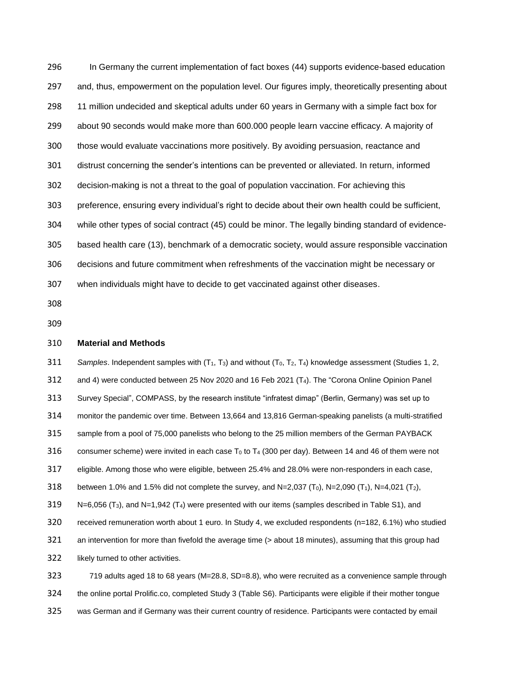In Germany the current implementation of fact boxes (44) supports evidence-based education and, thus, empowerment on the population level. Our figures imply, theoretically presenting about 11 million undecided and skeptical adults under 60 years in Germany with a simple fact box for about 90 seconds would make more than 600.000 people learn vaccine efficacy. A majority of those would evaluate vaccinations more positively. By avoiding persuasion, reactance and distrust concerning the sender's intentions can be prevented or alleviated. In return, informed decision-making is not a threat to the goal of population vaccination. For achieving this preference, ensuring every individual's right to decide about their own health could be sufficient, while other types of social contract (45) could be minor. The legally binding standard of evidence- based health care (13), benchmark of a democratic society, would assure responsible vaccination decisions and future commitment when refreshments of the vaccination might be necessary or when individuals might have to decide to get vaccinated against other diseases.

### **Material and Methods**

*Samples*. Independent samples with (T<sub>1</sub>, T<sub>3</sub>) and without (T<sub>0</sub>, T<sub>2</sub>, T<sub>4</sub>) knowledge assessment (Studies 1, 2, and 4) were conducted between 25 Nov 2020 and 16 Feb 2021 (T4). The "Corona Online Opinion Panel Survey Special", COMPASS, by the research institute "infratest dimap" (Berlin, Germany) was set up to monitor the pandemic over time. Between 13,664 and 13,816 German-speaking panelists (a multi-stratified sample from a pool of 75,000 panelists who belong to the 25 million members of the German PAYBACK 316 consumer scheme) were invited in each case  $T_0$  to  $T_4$  (300 per day). Between 14 and 46 of them were not eligible. Among those who were eligible, between 25.4% and 28.0% were non-responders in each case, 318 between 1.0% and 1.5% did not complete the survey, and N=2,037 (T<sub>0</sub>), N=2,090 (T<sub>1</sub>), N=4,021 (T<sub>2</sub>), N=6,056 (T3), and N=1,942 (T4) were presented with our items (samples described in Table S1), and received remuneration worth about 1 euro. In Study 4, we excluded respondents (n=182, 6.1%) who studied an intervention for more than fivefold the average time (> about 18 minutes), assuming that this group had likely turned to other activities. 719 adults aged 18 to 68 years (M=28.8, SD=8.8), who were recruited as a convenience sample through

 the online portal Prolific.co, completed Study 3 (Table S6). Participants were eligible if their mother tongue was German and if Germany was their current country of residence. Participants were contacted by email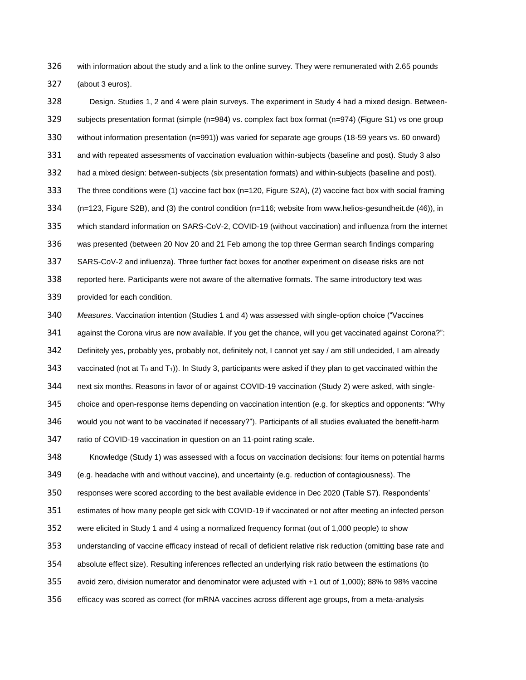with information about the study and a link to the online survey. They were remunerated with 2.65 pounds (about 3 euros).

 Design. Studies 1, 2 and 4 were plain surveys. The experiment in Study 4 had a mixed design. Between- subjects presentation format (simple (n=984) vs. complex fact box format (n=974) (Figure S1) vs one group without information presentation (n=991)) was varied for separate age groups (18-59 years vs. 60 onward) and with repeated assessments of vaccination evaluation within-subjects (baseline and post). Study 3 also had a mixed design: between-subjects (six presentation formats) and within-subjects (baseline and post). The three conditions were (1) vaccine fact box (n=120, Figure S2A), (2) vaccine fact box with social framing (n=123, Figure S2B), and (3) the control condition (n=116; website from www.helios-gesundheit.de (46)), in which standard information on SARS-CoV-2, COVID-19 (without vaccination) and influenza from the internet was presented (between 20 Nov 20 and 21 Feb among the top three German search findings comparing SARS-CoV-2 and influenza). Three further fact boxes for another experiment on disease risks are not reported here. Participants were not aware of the alternative formats. The same introductory text was provided for each condition. *Measures*. Vaccination intention (Studies 1 and 4) was assessed with single-option choice ("Vaccines

 against the Corona virus are now available. If you get the chance, will you get vaccinated against Corona?": Definitely yes, probably yes, probably not, definitely not, I cannot yet say / am still undecided, I am already 343 vaccinated (not at  $T_0$  and  $T_1$ )). In Study 3, participants were asked if they plan to get vaccinated within the next six months. Reasons in favor of or against COVID-19 vaccination (Study 2) were asked, with single- choice and open-response items depending on vaccination intention (e.g. for skeptics and opponents: "Why would you not want to be vaccinated if necessary?"). Participants of all studies evaluated the benefit-harm ratio of COVID-19 vaccination in question on an 11-point rating scale.

 Knowledge (Study 1) was assessed with a focus on vaccination decisions: four items on potential harms (e.g. headache with and without vaccine), and uncertainty (e.g. reduction of contagiousness). The responses were scored according to the best available evidence in Dec 2020 (Table S7). Respondents' estimates of how many people get sick with COVID-19 if vaccinated or not after meeting an infected person were elicited in Study 1 and 4 using a normalized frequency format (out of 1,000 people) to show understanding of vaccine efficacy instead of recall of deficient relative risk reduction (omitting base rate and absolute effect size). Resulting inferences reflected an underlying risk ratio between the estimations (to avoid zero, division numerator and denominator were adjusted with +1 out of 1,000); 88% to 98% vaccine efficacy was scored as correct (for mRNA vaccines across different age groups, from a meta-analysis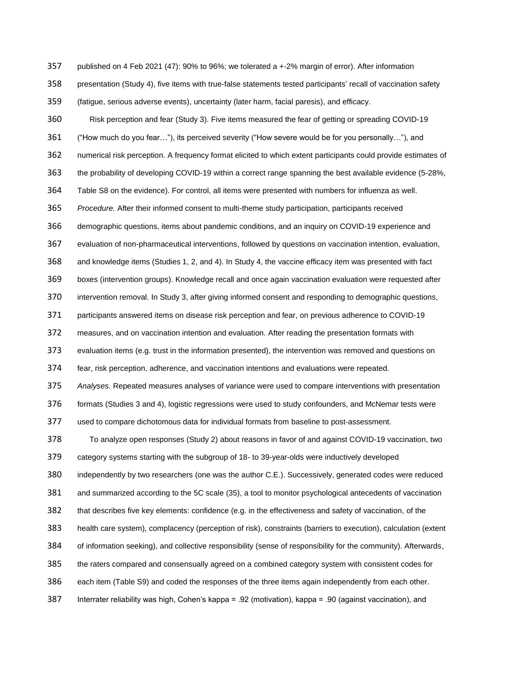published on 4 Feb 2021 (47): 90% to 96%; we tolerated a +-2% margin of error). After information

presentation (Study 4), five items with true-false statements tested participants' recall of vaccination safety

(fatigue, serious adverse events), uncertainty (later harm, facial paresis), and efficacy.

Risk perception and fear (Study 3). Five items measured the fear of getting or spreading COVID-19

("How much do you fear…"), its perceived severity ("How severe would be for you personally…"), and

numerical risk perception. A frequency format elicited to which extent participants could provide estimates of

the probability of developing COVID-19 within a correct range spanning the best available evidence (5-28%,

Table S8 on the evidence). For control, all items were presented with numbers for influenza as well.

*Procedure.* After their informed consent to multi-theme study participation, participants received

demographic questions, items about pandemic conditions, and an inquiry on COVID-19 experience and

evaluation of non-pharmaceutical interventions, followed by questions on vaccination intention, evaluation,

and knowledge items (Studies 1, 2, and 4). In Study 4, the vaccine efficacy item was presented with fact

boxes (intervention groups). Knowledge recall and once again vaccination evaluation were requested after

intervention removal. In Study 3, after giving informed consent and responding to demographic questions,

participants answered items on disease risk perception and fear, on previous adherence to COVID-19

measures, and on vaccination intention and evaluation. After reading the presentation formats with

evaluation items (e.g. trust in the information presented), the intervention was removed and questions on

fear, risk perception, adherence, and vaccination intentions and evaluations were repeated.

*Analyses.* Repeated measures analyses of variance were used to compare interventions with presentation

formats (Studies 3 and 4), logistic regressions were used to study confounders, and McNemar tests were

used to compare dichotomous data for individual formats from baseline to post-assessment.

 To analyze open responses (Study 2) about reasons in favor of and against COVID-19 vaccination, two category systems starting with the subgroup of 18- to 39-year-olds were inductively developed independently by two researchers (one was the author C.E.). Successively, generated codes were reduced

and summarized according to the 5C scale (35), a tool to monitor psychological antecedents of vaccination

that describes five key elements: confidence (e.g. in the effectiveness and safety of vaccination, of the

health care system), complacency (perception of risk), constraints (barriers to execution), calculation (extent

of information seeking), and collective responsibility (sense of responsibility for the community). Afterwards,

the raters compared and consensually agreed on a combined category system with consistent codes for

each item (Table S9) and coded the responses of the three items again independently from each other.

Interrater reliability was high, Cohen's kappa = .92 (motivation), kappa = .90 (against vaccination), and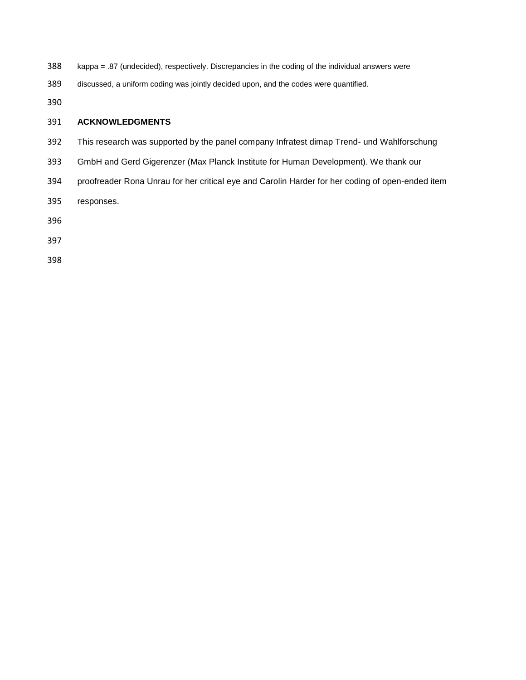- kappa = .87 (undecided), respectively. Discrepancies in the coding of the individual answers were
- discussed, a uniform coding was jointly decided upon, and the codes were quantified.

# **ACKNOWLEDGMENTS**

- This research was supported by the panel company Infratest dimap Trend- und Wahlforschung
- GmbH and Gerd Gigerenzer (Max Planck Institute for Human Development). We thank our
- proofreader Rona Unrau for her critical eye and Carolin Harder for her coding of open-ended item
- responses.
- 
- 
-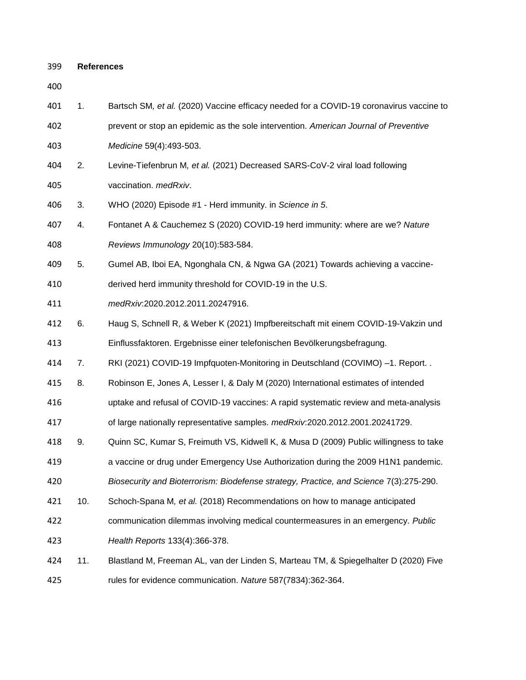## **References**

- 1. Bartsch SM*, et al.* (2020) Vaccine efficacy needed for a COVID-19 coronavirus vaccine to
- prevent or stop an epidemic as the sole intervention. *American Journal of Preventive Medicine* 59(4):493-503.
- 2. Levine-Tiefenbrun M*, et al.* (2021) Decreased SARS-CoV-2 viral load following vaccination. *medRxiv*.
- 3. WHO (2020) Episode #1 Herd immunity. in *Science in 5*.
- 4. Fontanet A & Cauchemez S (2020) COVID-19 herd immunity: where are we? *Nature Reviews Immunology* 20(10):583-584.
- 5. Gumel AB, Iboi EA, Ngonghala CN, & Ngwa GA (2021) Towards achieving a vaccine-
- derived herd immunity threshold for COVID-19 in the U.S.
- *medRxiv*:2020.2012.2011.20247916.
- 6. Haug S, Schnell R, & Weber K (2021) Impfbereitschaft mit einem COVID-19-Vakzin und Einflussfaktoren. Ergebnisse einer telefonischen Bevölkerungsbefragung.
- 7. RKI (2021) COVID-19 Impfquoten-Monitoring in Deutschland (COVIMO) –1. Report. .
- 8. Robinson E, Jones A, Lesser I, & Daly M (2020) International estimates of intended
- uptake and refusal of COVID-19 vaccines: A rapid systematic review and meta-analysis
- of large nationally representative samples. *medRxiv*:2020.2012.2001.20241729.
- 9. Quinn SC, Kumar S, Freimuth VS, Kidwell K, & Musa D (2009) Public willingness to take
- a vaccine or drug under Emergency Use Authorization during the 2009 H1N1 pandemic.
- *Biosecurity and Bioterrorism: Biodefense strategy, Practice, and Science* 7(3):275-290.
- 10. Schoch-Spana M*, et al.* (2018) Recommendations on how to manage anticipated
- communication dilemmas involving medical countermeasures in an emergency. *Public Health Reports* 133(4):366-378.
- 11. Blastland M, Freeman AL, van der Linden S, Marteau TM, & Spiegelhalter D (2020) Five rules for evidence communication. *Nature* 587(7834):362-364.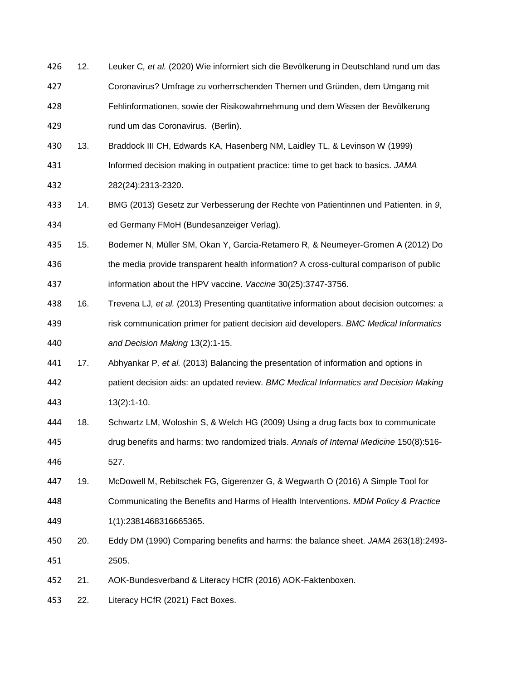| 426 | 12. | Leuker C, et al. (2020) Wie informiert sich die Bevölkerung in Deutschland rund um das   |
|-----|-----|------------------------------------------------------------------------------------------|
| 427 |     | Coronavirus? Umfrage zu vorherrschenden Themen und Gründen, dem Umgang mit               |
| 428 |     | Fehlinformationen, sowie der Risikowahrnehmung und dem Wissen der Bevölkerung            |
| 429 |     | rund um das Coronavirus. (Berlin).                                                       |
| 430 | 13. | Braddock III CH, Edwards KA, Hasenberg NM, Laidley TL, & Levinson W (1999)               |
| 431 |     | Informed decision making in outpatient practice: time to get back to basics. JAMA        |
| 432 |     | 282(24):2313-2320.                                                                       |
| 433 | 14. | BMG (2013) Gesetz zur Verbesserung der Rechte von Patientinnen und Patienten. in 9,      |
| 434 |     | ed Germany FMoH (Bundesanzeiger Verlag).                                                 |
| 435 | 15. | Bodemer N, Müller SM, Okan Y, Garcia-Retamero R, & Neumeyer-Gromen A (2012) Do           |
| 436 |     | the media provide transparent health information? A cross-cultural comparison of public  |
| 437 |     | information about the HPV vaccine. Vaccine 30(25):3747-3756.                             |
| 438 | 16. | Trevena LJ, et al. (2013) Presenting quantitative information about decision outcomes: a |
| 439 |     | risk communication primer for patient decision aid developers. BMC Medical Informatics   |
| 440 |     | and Decision Making 13(2):1-15.                                                          |
| 441 | 17. | Abhyankar P, et al. (2013) Balancing the presentation of information and options in      |
| 442 |     | patient decision aids: an updated review. BMC Medical Informatics and Decision Making    |
| 443 |     | $13(2):1-10.$                                                                            |
| 444 | 18. | Schwartz LM, Woloshin S, & Welch HG (2009) Using a drug facts box to communicate         |
| 445 |     | drug benefits and harms: two randomized trials. Annals of Internal Medicine 150(8):516-  |
| 446 |     | 527.                                                                                     |
| 447 | 19. | McDowell M, Rebitschek FG, Gigerenzer G, & Wegwarth O (2016) A Simple Tool for           |
| 448 |     | Communicating the Benefits and Harms of Health Interventions. MDM Policy & Practice      |
| 449 |     | 1(1):2381468316665365.                                                                   |
| 450 | 20. | Eddy DM (1990) Comparing benefits and harms: the balance sheet. JAMA 263(18):2493-       |
| 451 |     | 2505.                                                                                    |
| 452 | 21. | AOK-Bundesverband & Literacy HCfR (2016) AOK-Faktenboxen.                                |
| 453 | 22. | Literacy HCfR (2021) Fact Boxes.                                                         |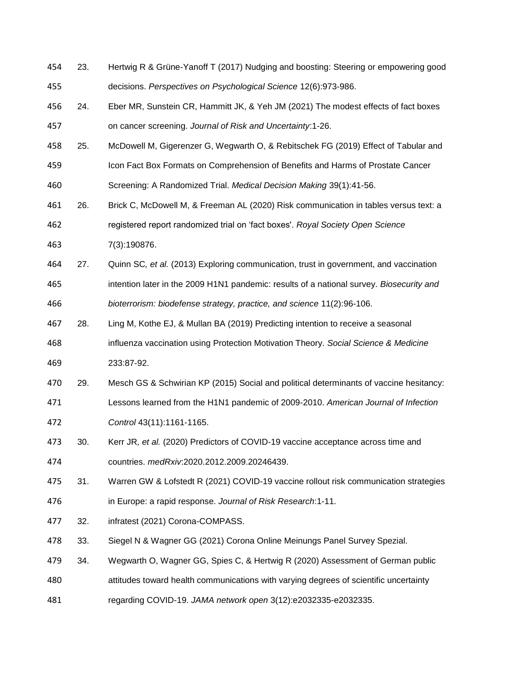| 454 | 23. | Hertwig R & Grüne-Yanoff T (2017) Nudging and boosting: Steering or empowering good      |
|-----|-----|------------------------------------------------------------------------------------------|
| 455 |     | decisions. Perspectives on Psychological Science 12(6):973-986.                          |
| 456 | 24. | Eber MR, Sunstein CR, Hammitt JK, & Yeh JM (2021) The modest effects of fact boxes       |
| 457 |     | on cancer screening. Journal of Risk and Uncertainty:1-26.                               |
| 458 | 25. | McDowell M, Gigerenzer G, Wegwarth O, & Rebitschek FG (2019) Effect of Tabular and       |
| 459 |     | Icon Fact Box Formats on Comprehension of Benefits and Harms of Prostate Cancer          |
| 460 |     | Screening: A Randomized Trial. Medical Decision Making 39(1):41-56.                      |
| 461 | 26. | Brick C, McDowell M, & Freeman AL (2020) Risk communication in tables versus text: a     |
| 462 |     | registered report randomized trial on 'fact boxes'. Royal Society Open Science           |
| 463 |     | 7(3):190876.                                                                             |
| 464 | 27. | Quinn SC, et al. (2013) Exploring communication, trust in government, and vaccination    |
| 465 |     | intention later in the 2009 H1N1 pandemic: results of a national survey. Biosecurity and |
| 466 |     | bioterrorism: biodefense strategy, practice, and science 11(2):96-106.                   |
| 467 | 28. | Ling M, Kothe EJ, & Mullan BA (2019) Predicting intention to receive a seasonal          |
| 468 |     | influenza vaccination using Protection Motivation Theory. Social Science & Medicine      |
| 469 |     | 233:87-92.                                                                               |
| 470 | 29. | Mesch GS & Schwirian KP (2015) Social and political determinants of vaccine hesitancy:   |
| 471 |     | Lessons learned from the H1N1 pandemic of 2009-2010. American Journal of Infection       |
| 472 |     | Control 43(11):1161-1165.                                                                |
| 473 | 30. | Kerr JR, et al. (2020) Predictors of COVID-19 vaccine acceptance across time and         |
| 474 |     | countries. medRxiv.2020.2012.2009.20246439.                                              |
| 475 | 31. | Warren GW & Lofstedt R (2021) COVID-19 vaccine rollout risk communication strategies     |
| 476 |     | in Europe: a rapid response. Journal of Risk Research:1-11.                              |
| 477 | 32. | infratest (2021) Corona-COMPASS.                                                         |
| 478 | 33. | Siegel N & Wagner GG (2021) Corona Online Meinungs Panel Survey Spezial.                 |
| 479 | 34. | Wegwarth O, Wagner GG, Spies C, & Hertwig R (2020) Assessment of German public           |
| 480 |     | attitudes toward health communications with varying degrees of scientific uncertainty    |
| 481 |     | regarding COVID-19. JAMA network open 3(12):e2032335-e2032335.                           |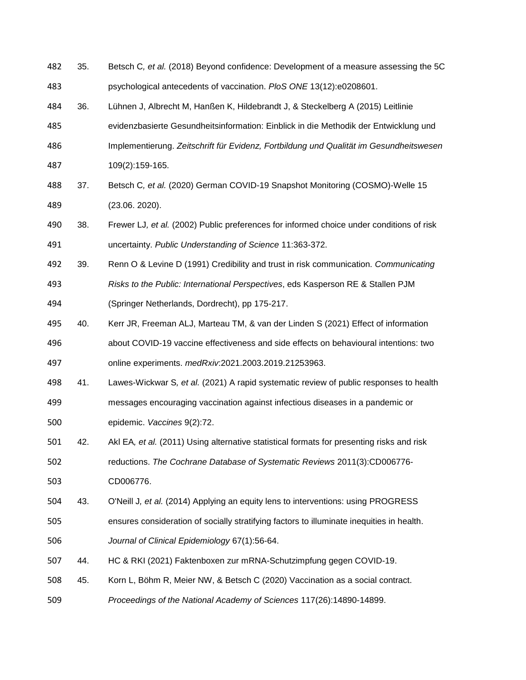35. Betsch C*, et al.* (2018) Beyond confidence: Development of a measure assessing the 5C psychological antecedents of vaccination. *PloS ONE* 13(12):e0208601. 36. Lühnen J, Albrecht M, Hanßen K, Hildebrandt J, & Steckelberg A (2015) Leitlinie evidenzbasierte Gesundheitsinformation: Einblick in die Methodik der Entwicklung und Implementierung. *Zeitschrift für Evidenz, Fortbildung und Qualität im Gesundheitswesen* 109(2):159-165. 37. Betsch C*, et al.* (2020) German COVID-19 Snapshot Monitoring (COSMO)-Welle 15 (23.06. 2020). 38. Frewer LJ*, et al.* (2002) Public preferences for informed choice under conditions of risk uncertainty. *Public Understanding of Science* 11:363-372. 39. Renn O & Levine D (1991) Credibility and trust in risk communication. *Communicating Risks to the Public: International Perspectives*, eds Kasperson RE & Stallen PJM (Springer Netherlands, Dordrecht), pp 175-217. 40. Kerr JR, Freeman ALJ, Marteau TM, & van der Linden S (2021) Effect of information about COVID-19 vaccine effectiveness and side effects on behavioural intentions: two online experiments. *medRxiv*:2021.2003.2019.21253963. 41. Lawes-Wickwar S*, et al.* (2021) A rapid systematic review of public responses to health messages encouraging vaccination against infectious diseases in a pandemic or epidemic. *Vaccines* 9(2):72. 42. Akl EA*, et al.* (2011) Using alternative statistical formats for presenting risks and risk reductions. *The Cochrane Database of Systematic Reviews* 2011(3):CD006776- CD006776. 43. O'Neill J*, et al.* (2014) Applying an equity lens to interventions: using PROGRESS ensures consideration of socially stratifying factors to illuminate inequities in health. *Journal of Clinical Epidemiology* 67(1):56-64. 44. HC & RKI (2021) Faktenboxen zur mRNA-Schutzimpfung gegen COVID-19. 45. Korn L, Böhm R, Meier NW, & Betsch C (2020) Vaccination as a social contract. *Proceedings of the National Academy of Sciences* 117(26):14890-14899.